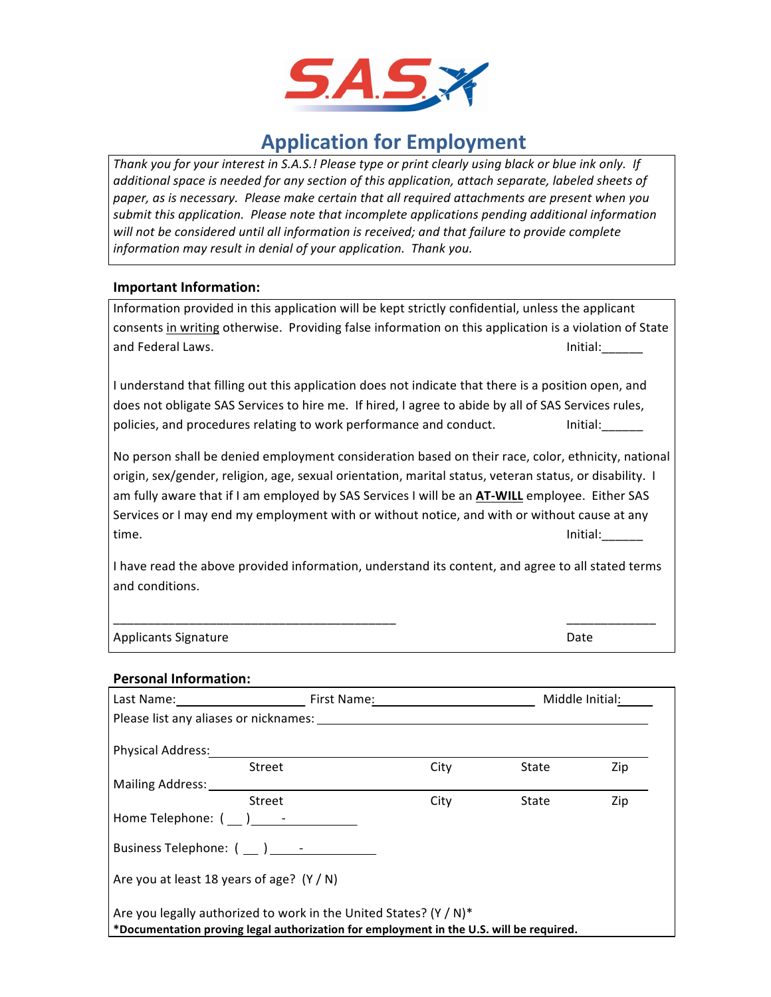

# **Application for Employment**

Thank you for your interest in S.A.S.! Please type or print clearly using black or blue ink only. If *additional space is needed for any section of this application, attach separate, labeled sheets of* paper, as is necessary. Please make certain that all required attachments are present when you submit this application. Please note that incomplete applications pending additional information will not be considered until all information is received; and that failure to provide complete information may result in denial of your application. Thank you.

# **Important Information:**

| Information provided in this application will be kept strictly confidential, unless the applicant      |          |  |  |
|--------------------------------------------------------------------------------------------------------|----------|--|--|
| consents in writing otherwise. Providing false information on this application is a violation of State |          |  |  |
| and Federal Laws.                                                                                      | Initial: |  |  |
|                                                                                                        |          |  |  |

I understand that filling out this application does not indicate that there is a position open, and does not obligate SAS Services to hire me. If hired, I agree to abide by all of SAS Services rules, policies, and procedures relating to work performance and conduct. Thitial:

No person shall be denied employment consideration based on their race, color, ethnicity, national origin, sex/gender, religion, age, sexual orientation, marital status, veteran status, or disability. I am fully aware that if I am employed by SAS Services I will be an **AT-WILL** employee. Either SAS Services or I may end my employment with or without notice, and with or without cause at any time. The contraction of the contraction of the contraction of the contraction of the contraction of the contraction of the contraction of the contraction of the contraction of the contraction of the contraction of the con

I have read the above provided information, understand its content, and agree to all stated terms and conditions.

\_\_\_\_\_\_\_\_\_\_\_\_\_\_\_\_\_\_\_\_\_\_\_\_\_\_\_\_\_\_\_\_\_\_\_\_\_\_\_\_\_ \_\_\_\_\_\_\_\_\_\_\_\_\_

Applicants Signature **Date** Date of the Date of the Date of the Date of the Date of the Date of the Date of the Date of the Date of the Date of the Date of the Date of the Date of the Date of the Date of the Date of the Da

#### **Personal Information:**

| Last Name:                                                                                                                                                   | First Name: |      |       | Middle Initial: |
|--------------------------------------------------------------------------------------------------------------------------------------------------------------|-------------|------|-------|-----------------|
|                                                                                                                                                              |             |      |       |                 |
| <b>Physical Address:</b>                                                                                                                                     |             |      |       |                 |
| Street                                                                                                                                                       |             | City | State | Zip             |
| Mailing Address:                                                                                                                                             |             |      |       |                 |
| Street                                                                                                                                                       |             | City | State | Zip             |
| Home Telephone: () -                                                                                                                                         |             |      |       |                 |
| Business Telephone: () -                                                                                                                                     |             |      |       |                 |
| Are you at least 18 years of age? $(Y/N)$                                                                                                                    |             |      |       |                 |
| Are you legally authorized to work in the United States? (Y / N)*<br>*Documentation proving legal authorization for employment in the U.S. will be required. |             |      |       |                 |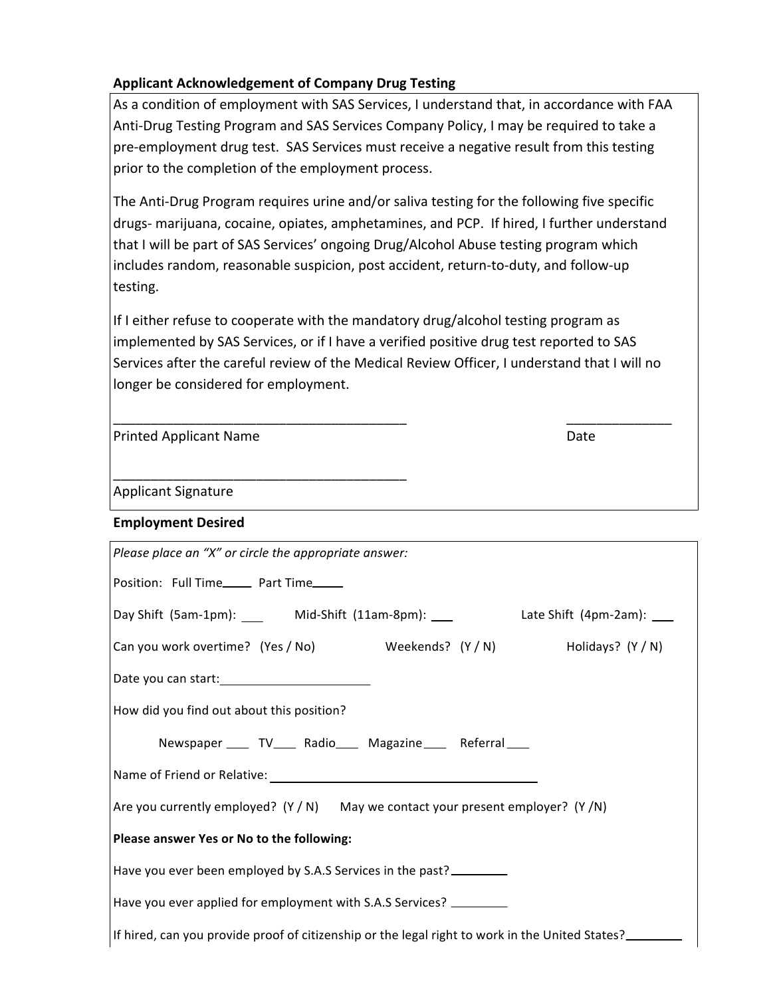# **Applicant Acknowledgement of Company Drug Testing**

As a condition of employment with SAS Services, I understand that, in accordance with FAA Anti-Drug Testing Program and SAS Services Company Policy, I may be required to take a pre-employment drug test. SAS Services must receive a negative result from this testing prior to the completion of the employment process.

The Anti-Drug Program requires urine and/or saliva testing for the following five specific drugs- marijuana, cocaine, opiates, amphetamines, and PCP. If hired, I further understand that I will be part of SAS Services' ongoing Drug/Alcohol Abuse testing program which includes random, reasonable suspicion, post accident, return-to-duty, and follow-up testing.

If I either refuse to cooperate with the mandatory drug/alcohol testing program as implemented by SAS Services, or if I have a verified positive drug test reported to SAS Services after the careful review of the Medical Review Officer, I understand that I will no longer be considered for employment.

\_\_\_\_\_\_\_\_\_\_\_\_\_\_\_\_\_\_\_\_\_\_\_\_\_\_\_\_\_\_\_\_\_\_\_\_\_\_\_ \_\_\_\_\_\_\_\_\_\_\_\_\_\_

| <b>Printed Applicant Name</b> | Date |
|-------------------------------|------|
|                               |      |

\_\_\_\_\_\_\_\_\_\_\_\_\_\_\_\_\_\_\_\_\_\_\_\_\_\_\_\_\_\_\_\_\_\_\_\_\_\_\_

Applicant Signature

# **Employment Desired**

| Please place an "X" or circle the appropriate answer:                                           |  |  |  |  |
|-------------------------------------------------------------------------------------------------|--|--|--|--|
| Position: Full Time______ Part Time_____                                                        |  |  |  |  |
| Day Shift (5am-1pm): ______ Mid-Shift (11am-8pm): ____<br>Late Shift $(4pm-2am)$ : ____         |  |  |  |  |
| Can you work overtime? (Yes / No) Weekends? (Y / N) Holidays? (Y / N)                           |  |  |  |  |
|                                                                                                 |  |  |  |  |
| How did you find out about this position?                                                       |  |  |  |  |
| Newspaper _____ TV_____ Radio_____ Magazine_____ Referral____                                   |  |  |  |  |
|                                                                                                 |  |  |  |  |
| Are you currently employed? $(Y/N)$ May we contact your present employer? $(Y/N)$               |  |  |  |  |
| Please answer Yes or No to the following:                                                       |  |  |  |  |
| Have you ever been employed by S.A.S Services in the past?                                      |  |  |  |  |
| Have you ever applied for employment with S.A.S Services?                                       |  |  |  |  |
| If hired, can you provide proof of citizenship or the legal right to work in the United States? |  |  |  |  |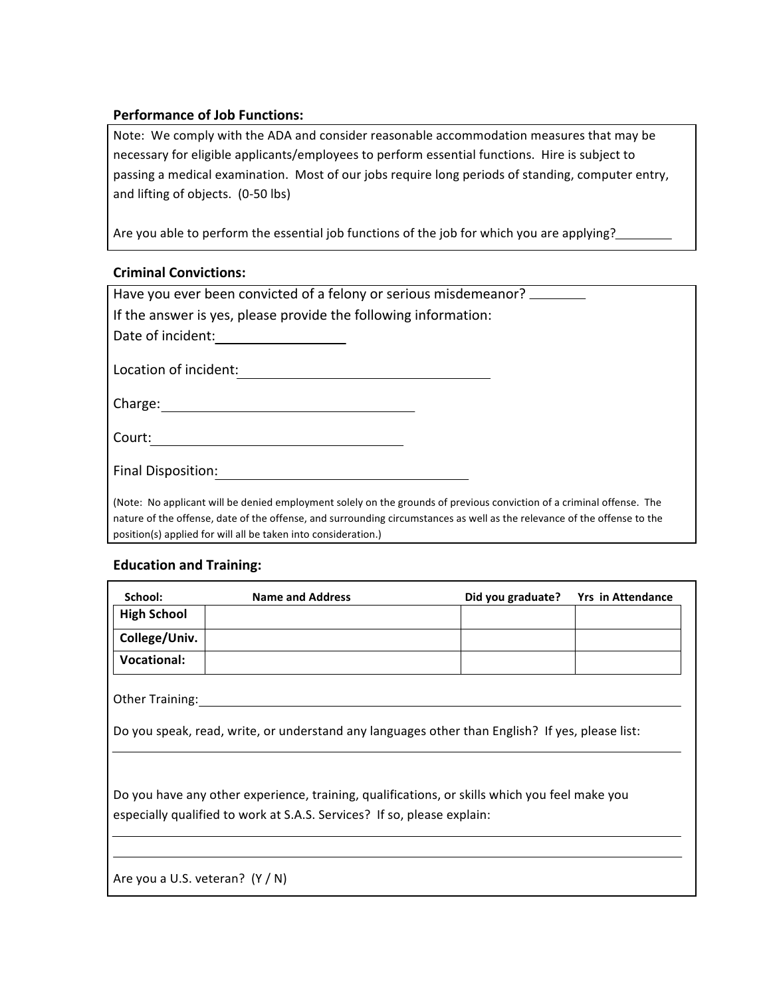# **Performance of Job Functions:**

Note: We comply with the ADA and consider reasonable accommodation measures that may be necessary for eligible applicants/employees to perform essential functions. Hire is subject to passing a medical examination. Most of our jobs require long periods of standing, computer entry, and lifting of objects. (0-50 lbs)

Are you able to perform the essential job functions of the job for which you are applying?

# **Criminal Convictions:**

| Have you ever been convicted of a felony or serious misdemeanor?                                                                                                                                                                                                                                                    |  |  |
|---------------------------------------------------------------------------------------------------------------------------------------------------------------------------------------------------------------------------------------------------------------------------------------------------------------------|--|--|
| If the answer is yes, please provide the following information:                                                                                                                                                                                                                                                     |  |  |
| Date of incident:                                                                                                                                                                                                                                                                                                   |  |  |
| Location of incident:                                                                                                                                                                                                                                                                                               |  |  |
| Charge:                                                                                                                                                                                                                                                                                                             |  |  |
| Court:                                                                                                                                                                                                                                                                                                              |  |  |
| Final Disposition:                                                                                                                                                                                                                                                                                                  |  |  |
| (Note: No applicant will be denied employment solely on the grounds of previous conviction of a criminal offense. The<br>nature of the offense, date of the offense, and surrounding circumstances as well as the relevance of the offense to the<br>position(s) applied for will all be taken into consideration.) |  |  |

# **Education and Training:**

| School:                | <b>Name and Address</b> |  | Did you graduate? Yrs in Attendance |  |
|------------------------|-------------------------|--|-------------------------------------|--|
| <b>High School</b>     |                         |  |                                     |  |
| College/Univ.          |                         |  |                                     |  |
| <b>Vocational:</b>     |                         |  |                                     |  |
| <b>Other Training:</b> |                         |  |                                     |  |

Do you speak, read, write, or understand any languages other than English? If yes, please list:

Do you have any other experience, training, qualifications, or skills which you feel make you especially qualified to work at S.A.S. Services? If so, please explain:

Are you a U.S. veteran?  $(Y/N)$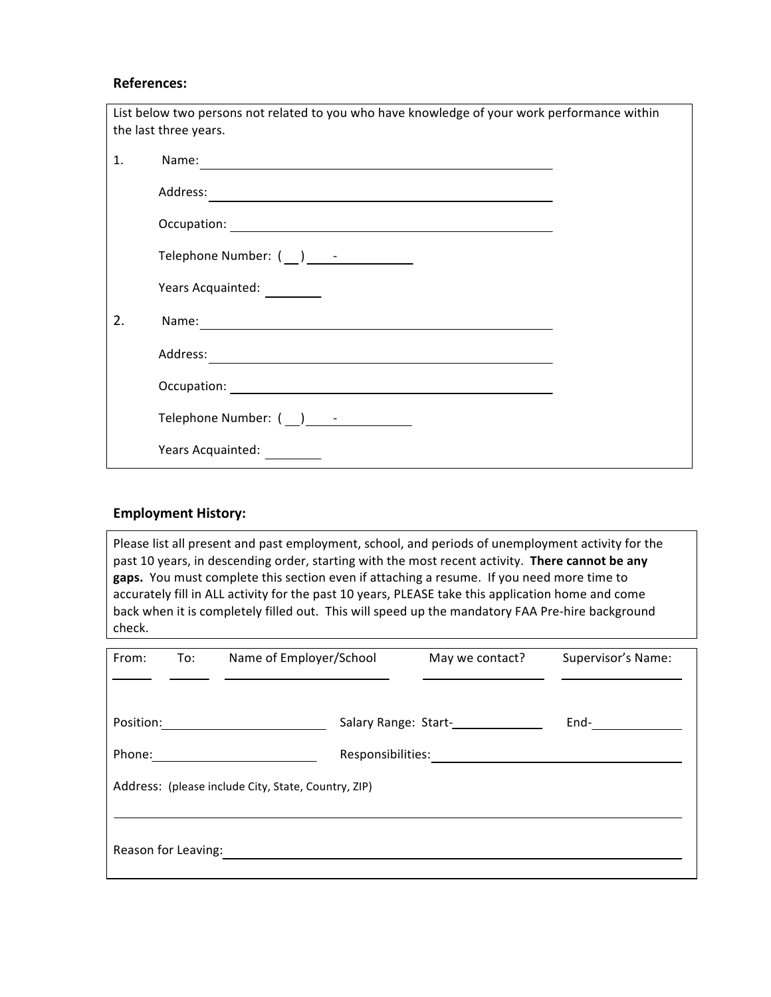#### **References:**

| List below two persons not related to you who have knowledge of your work performance within |                                         |  |  |  |
|----------------------------------------------------------------------------------------------|-----------------------------------------|--|--|--|
| the last three years.                                                                        |                                         |  |  |  |
| 1.                                                                                           | Name:                                   |  |  |  |
|                                                                                              |                                         |  |  |  |
|                                                                                              |                                         |  |  |  |
|                                                                                              | Telephone Number: $(\_)$ - - 2000       |  |  |  |
|                                                                                              | Years Acquainted: _________             |  |  |  |
| 2.                                                                                           |                                         |  |  |  |
|                                                                                              |                                         |  |  |  |
|                                                                                              |                                         |  |  |  |
|                                                                                              | Telephone Number: ( __ ) ______________ |  |  |  |
|                                                                                              | Years Acquainted:                       |  |  |  |

#### **Employment History:**

Please list all present and past employment, school, and periods of unemployment activity for the past 10 years, in descending order, starting with the most recent activity. There cannot be any gaps. You must complete this section even if attaching a resume. If you need more time to accurately fill in ALL activity for the past 10 years, PLEASE take this application home and come back when it is completely filled out. This will speed up the mandatory FAA Pre-hire background check.

| From:                                               | To: | Name of Employer/School | May we contact?                                            | Supervisor's Name: |
|-----------------------------------------------------|-----|-------------------------|------------------------------------------------------------|--------------------|
| Position:                                           |     |                         | Salary Range: Start-<br><u>[</u> [16] Salary Range: Start- | End-               |
| Phone:                                              |     | Responsibilities:       |                                                            |                    |
| Address: (please include City, State, Country, ZIP) |     |                         |                                                            |                    |
|                                                     |     |                         |                                                            |                    |
| Reason for Leaving:                                 |     |                         |                                                            |                    |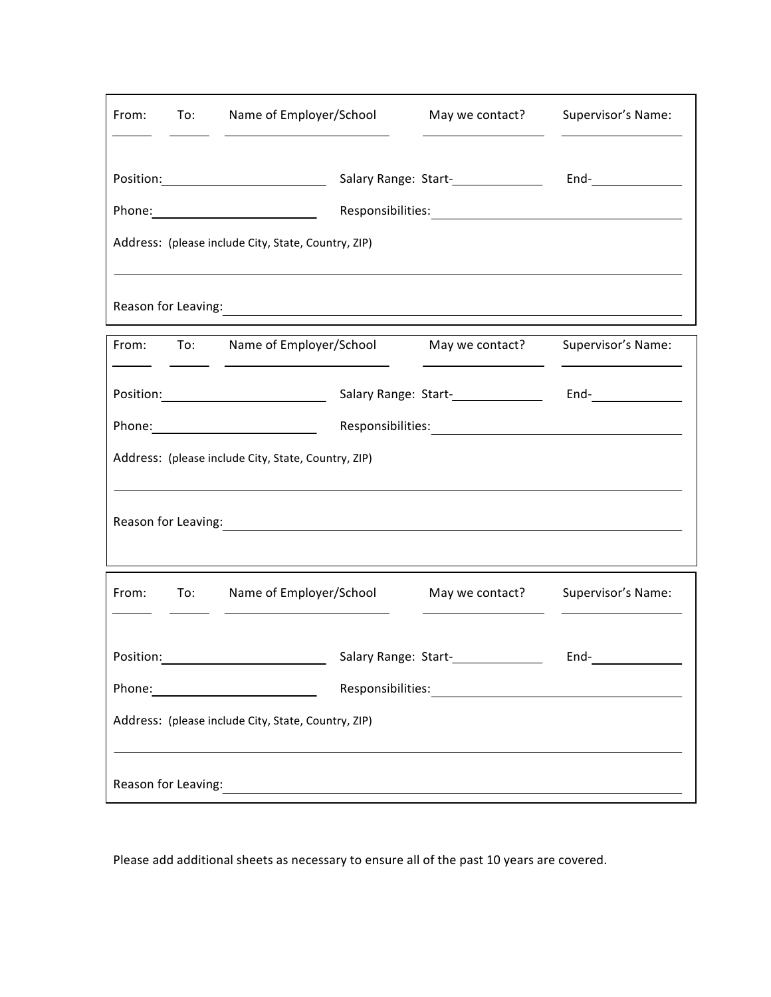| From:                                                                                                                                                                                                                         | To: | Name of Employer/School                                                                                                                                                                                                        | May we contact? | Supervisor's Name:      |
|-------------------------------------------------------------------------------------------------------------------------------------------------------------------------------------------------------------------------------|-----|--------------------------------------------------------------------------------------------------------------------------------------------------------------------------------------------------------------------------------|-----------------|-------------------------|
|                                                                                                                                                                                                                               |     | Position: ____________________________                                                                                                                                                                                         |                 | $End$ - $\qquad \qquad$ |
|                                                                                                                                                                                                                               |     | Phone: 2008 2010 2010 2021 2022 2023 2024 2022 2022 2023 2024 2022 2023 2024 2022 2023 2024 2025 2026 2027 20                                                                                                                  |                 |                         |
|                                                                                                                                                                                                                               |     | Address: (please include City, State, Country, ZIP)<br><u> 1989 - John Stone, amerikansk politiker (* 1989)</u>                                                                                                                |                 |                         |
|                                                                                                                                                                                                                               |     | Reason for Leaving: example and a series of the series of the series of the series of the series of the series of the series of the series of the series of the series of the series of the series of the series of the series |                 |                         |
|                                                                                                                                                                                                                               |     | From: To: Name of Employer/School May we contact?<br><u> 1989 - Johann Barnett, fransk politiker (</u>                                                                                                                         |                 | Supervisor's Name:      |
|                                                                                                                                                                                                                               |     |                                                                                                                                                                                                                                |                 | $End-$                  |
|                                                                                                                                                                                                                               |     |                                                                                                                                                                                                                                |                 |                         |
|                                                                                                                                                                                                                               |     | Address: (please include City, State, Country, ZIP)                                                                                                                                                                            |                 |                         |
| Reason for Leaving: example and a series of the series of the series of the series of the series of the series                                                                                                                |     |                                                                                                                                                                                                                                |                 |                         |
| From:                                                                                                                                                                                                                         | To: | Name of Employer/School                                                                                                                                                                                                        | May we contact? | Supervisor's Name:      |
| Position:                                                                                                                                                                                                                     |     | Salary Range: Start-                                                                                                                                                                                                           |                 | End-                    |
|                                                                                                                                                                                                                               |     |                                                                                                                                                                                                                                |                 |                         |
| Address: (please include City, State, Country, ZIP)                                                                                                                                                                           |     |                                                                                                                                                                                                                                |                 |                         |
| Reason for Leaving: 1999. The Contract of the Contract of the Contract of the Contract of the Contract of the Contract of the Contract of the Contract of the Contract of the Contract of the Contract of the Contract of the |     |                                                                                                                                                                                                                                |                 |                         |

Please add additional sheets as necessary to ensure all of the past 10 years are covered.